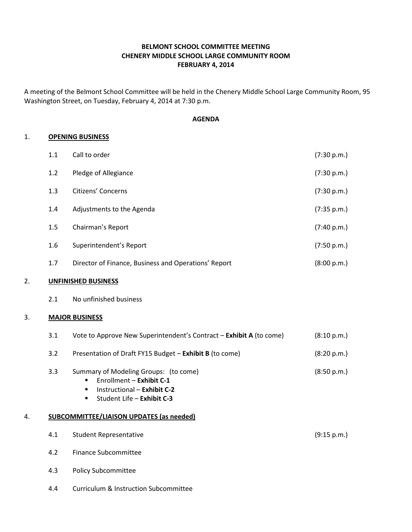# BELMONT SCHOOL COMMITTEE MEETING CHENERY MIDDLE SCHOOL LARGE COMMUNITY ROOM FEBRUARY 4, 2014

A meeting of the Belmont School Committee will be held in the Chenery Middle School Large Community Room, 95 Washington Street, on Tuesday, February 4, 2014 at 7:30 p.m.

### AGENDA

### 1. OPENING BUSINESS

| 1.1 | Call to order                                        | (7:30 p.m.) |
|-----|------------------------------------------------------|-------------|
| 1.2 | Pledge of Allegiance                                 | (7:30 p.m.) |
| 1.3 | Citizens' Concerns                                   | (7:30 p.m.) |
| 1.4 | Adjustments to the Agenda                            | (7:35 p.m.) |
| 1.5 | Chairman's Report                                    | (7:40 p.m.) |
| 1.6 | Superintendent's Report                              | (7:50 p.m.) |
| 1.7 | Director of Finance, Business and Operations' Report | (8:00 p.m.) |

## 2. UNFINISHED BUSINESS

2.1 No unfinished business

## 3. MAJOR BUSINESS

|    | 3.1 | Vote to Approve New Superintendent's Contract - Exhibit A (to come)                                                                                                                    | (8:10 p.m.) |
|----|-----|----------------------------------------------------------------------------------------------------------------------------------------------------------------------------------------|-------------|
|    | 3.2 | Presentation of Draft FY15 Budget - Exhibit B (to come)                                                                                                                                | (8:20 p.m.) |
| 4. | 3.3 | Summary of Modeling Groups: (to come)<br>Enrollment - Exhibit C-1<br>Instructional - Exhibit C-2<br>٠<br>Student Life – Exhibit C-3<br><b>SUBCOMMITTEE/LIAISON UPDATES (as needed)</b> | (8:50 p.m.) |
|    | 4.1 | <b>Student Representative</b>                                                                                                                                                          | (9:15 p.m.) |
|    | 4.2 | Finance Subcommittee                                                                                                                                                                   |             |
|    | 4.3 | <b>Policy Subcommittee</b>                                                                                                                                                             |             |

4.4 Curriculum & Instruction Subcommittee